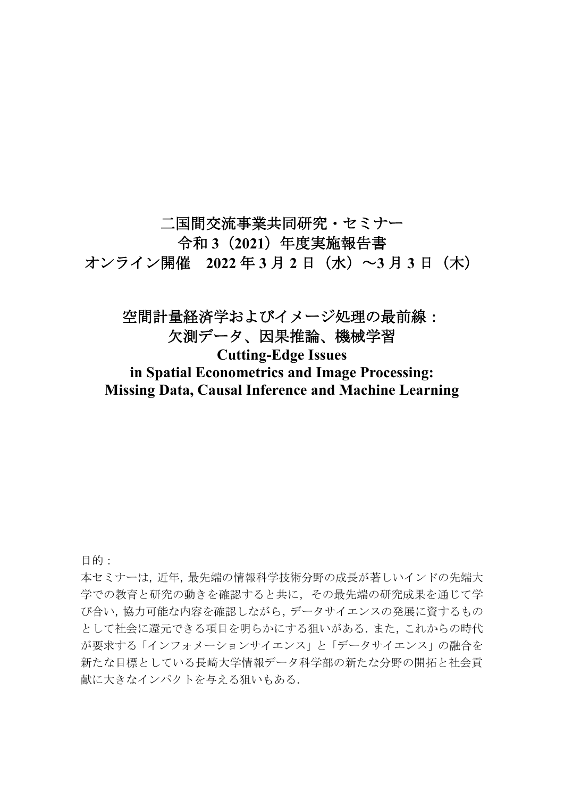二国間交流事業共同研究・セミナー 令和 **3**(**2021**)年度実施報告書 オンライン開催 **2022** 年 **3** 月 **2** 日(水)~**3** 月 **3** 日(木)

# 空間計量経済学およびイメージ処理の最前線: 欠測データ、因果推論、機械学習 **Cutting-Edge Issues in Spatial Econometrics and Image Processing: Missing Data, Causal Inference and Machine Learning**

目的:

本セミナーは,近年,最先端の情報科学技術分野の成長が著しいインドの先端大 学での教育と研究の動きを確認すると共に,その最先端の研究成果を通じて学 び合い,協力可能な内容を確認しながら,データサイエンスの発展に資するもの として社会に還元できる項目を明らかにする狙いがある.また,これからの時代 が要求する「インフォメーションサイエンス」と「データサイエンス」の融合を 新たな目標としている長崎大学情報データ科学部の新たな分野の開拓と社会貢 献に大きなインパクトを与える狙いもある.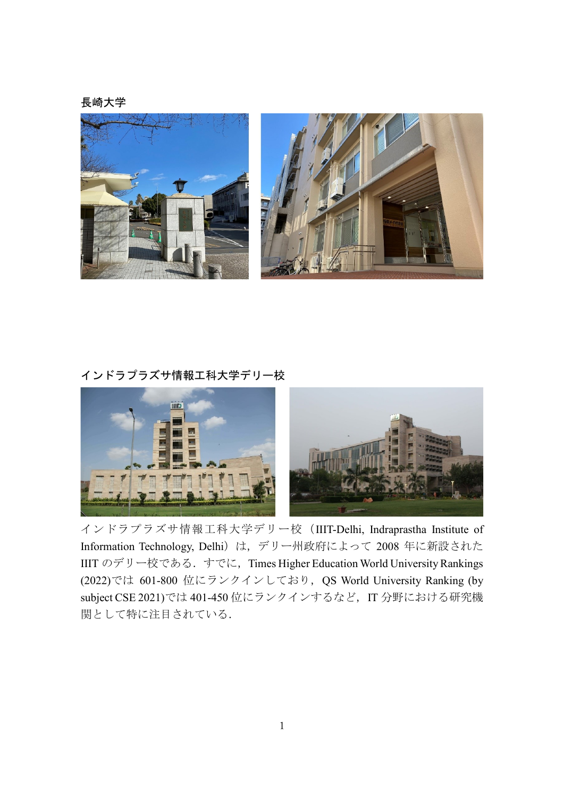長崎大学



# インドラプラズサ情報工科大学デリー校



インドラプラズサ情報工科大学デリー校(IIIT-Delhi, Indraprastha Institute of Information Technology, Delhi)は, デリー州政府によって 2008 年に新設された IIIT のデリー校である. すでに, Times Higher Education World University Rankings (2022)では 601-800 位にランクインしており,QS World University Ranking (by subject CSE 2021)では 401-450 位にランクインするなど, IT 分野における研究機 関として特に注目されている.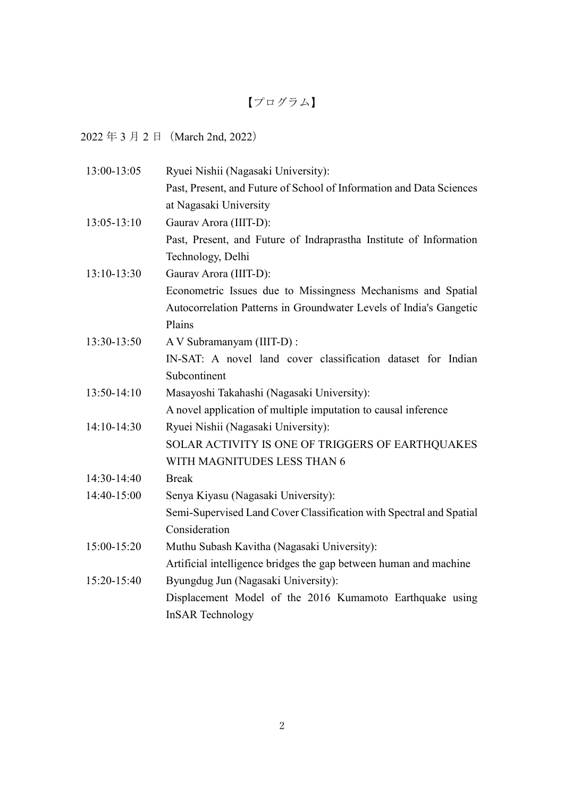# 【プログラム】

 $2022 43 7 2 1 (March 2nd, 2022)$ 

| 13:00-13:05 | Ryuei Nishii (Nagasaki University):                                  |
|-------------|----------------------------------------------------------------------|
|             | Past, Present, and Future of School of Information and Data Sciences |
|             | at Nagasaki University                                               |
| 13:05-13:10 | Gaurav Arora (IIIT-D):                                               |
|             | Past, Present, and Future of Indraprastha Institute of Information   |
|             | Technology, Delhi                                                    |
| 13:10-13:30 | Gaurav Arora (IIIT-D):                                               |
|             | Econometric Issues due to Missingness Mechanisms and Spatial         |
|             | Autocorrelation Patterns in Groundwater Levels of India's Gangetic   |
|             | Plains                                                               |
| 13:30-13:50 | A V Subramanyam (IIIT-D) :                                           |
|             | IN-SAT: A novel land cover classification dataset for Indian         |
|             | Subcontinent                                                         |
| 13:50-14:10 | Masayoshi Takahashi (Nagasaki University):                           |
|             | A novel application of multiple imputation to causal inference       |
| 14:10-14:30 | Ryuei Nishii (Nagasaki University):                                  |
|             | SOLAR ACTIVITY IS ONE OF TRIGGERS OF EARTHQUAKES                     |
|             | WITH MAGNITUDES LESS THAN 6                                          |
| 14:30-14:40 | <b>Break</b>                                                         |
| 14:40-15:00 | Senya Kiyasu (Nagasaki University):                                  |
|             | Semi-Supervised Land Cover Classification with Spectral and Spatial  |
|             | Consideration                                                        |
| 15:00-15:20 | Muthu Subash Kavitha (Nagasaki University):                          |
|             | Artificial intelligence bridges the gap between human and machine    |
| 15:20-15:40 | Byungdug Jun (Nagasaki University):                                  |
|             | Displacement Model of the 2016 Kumamoto Earthquake using             |
|             | <b>InSAR</b> Technology                                              |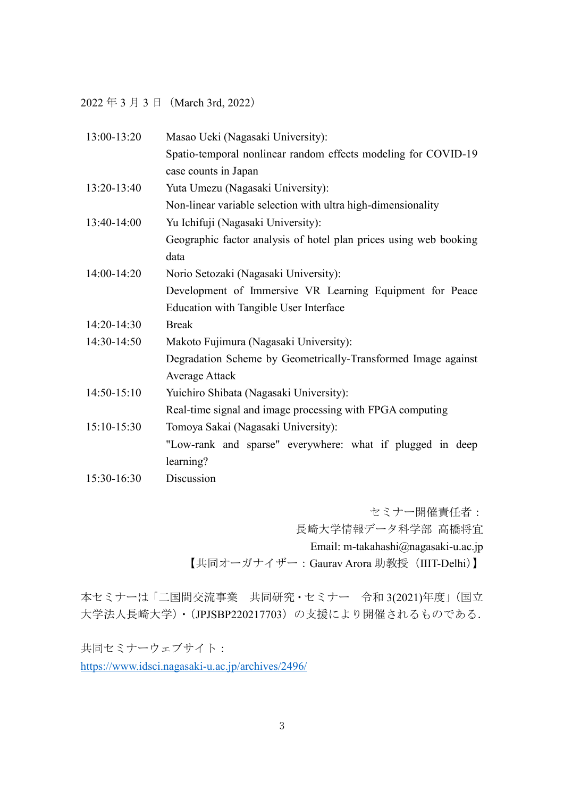2022 年 3 月 3 日 (March 3rd, 2022)

| 13:00-13:20   | Masao Ueki (Nagasaki University):                                 |
|---------------|-------------------------------------------------------------------|
|               | Spatio-temporal nonlinear random effects modeling for COVID-19    |
|               | case counts in Japan                                              |
| 13:20-13:40   | Yuta Umezu (Nagasaki University):                                 |
|               | Non-linear variable selection with ultra high-dimensionality      |
| 13:40-14:00   | Yu Ichifuji (Nagasaki University):                                |
|               | Geographic factor analysis of hotel plan prices using web booking |
|               | data                                                              |
| 14:00-14:20   | Norio Setozaki (Nagasaki University):                             |
|               | Development of Immersive VR Learning Equipment for Peace          |
|               | <b>Education with Tangible User Interface</b>                     |
| 14:20-14:30   | <b>Break</b>                                                      |
| 14:30-14:50   | Makoto Fujimura (Nagasaki University):                            |
|               | Degradation Scheme by Geometrically-Transformed Image against     |
|               | <b>Average Attack</b>                                             |
| $14:50-15:10$ | Yuichiro Shibata (Nagasaki University):                           |
|               | Real-time signal and image processing with FPGA computing         |
| 15:10-15:30   | Tomoya Sakai (Nagasaki University):                               |
|               | "Low-rank and sparse" everywhere: what if plugged in deep         |
|               | learning?                                                         |
| 15:30-16:30   | Discussion                                                        |

セミナー開催責任者: 長崎大学情報データ科学部 高橋将宜 Email: m-takahashi@nagasaki-u.ac.jp 【共同オーガナイザー: Gaurav Arora 助教授 (IIIT-Delhi)】

本セミナーは「二国間交流事業 共同研究・セミナー 令和 3(2021)年度」(国立 大学法人長崎大学)・(JPJSBP220217703)の支援により開催されるものである.

共同セミナーウェブサイト: <https://www.idsci.nagasaki-u.ac.jp/archives/2496/>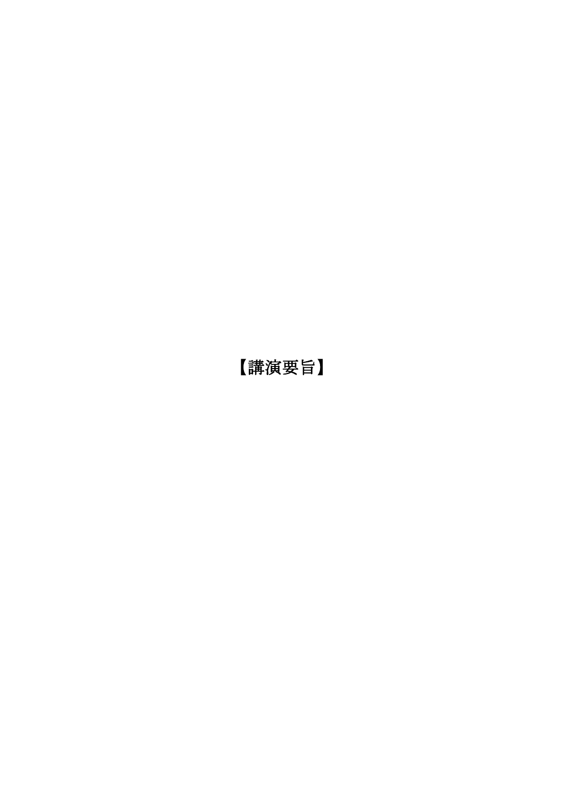【講演要旨】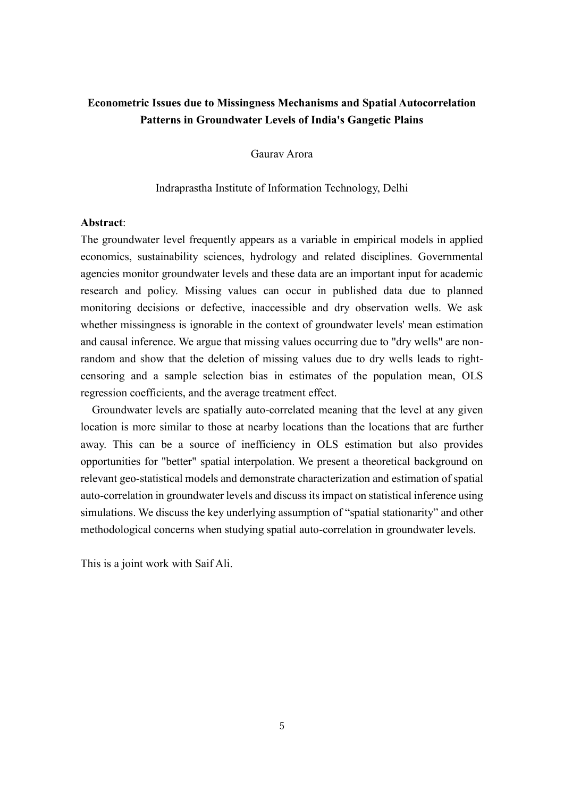# **Econometric Issues due to Missingness Mechanisms and Spatial Autocorrelation Patterns in Groundwater Levels of India's Gangetic Plains**

Gaurav Arora

#### Indraprastha Institute of Information Technology, Delhi

# **Abstract**:

The groundwater level frequently appears as a variable in empirical models in applied economics, sustainability sciences, hydrology and related disciplines. Governmental agencies monitor groundwater levels and these data are an important input for academic research and policy. Missing values can occur in published data due to planned monitoring decisions or defective, inaccessible and dry observation wells. We ask whether missingness is ignorable in the context of groundwater levels' mean estimation and causal inference. We argue that missing values occurring due to "dry wells" are nonrandom and show that the deletion of missing values due to dry wells leads to rightcensoring and a sample selection bias in estimates of the population mean, OLS regression coefficients, and the average treatment effect.

Groundwater levels are spatially auto-correlated meaning that the level at any given location is more similar to those at nearby locations than the locations that are further away. This can be a source of inefficiency in OLS estimation but also provides opportunities for "better" spatial interpolation. We present a theoretical background on relevant geo-statistical models and demonstrate characterization and estimation of spatial auto-correlation in groundwater levels and discuss its impact on statistical inference using simulations. We discuss the key underlying assumption of "spatial stationarity" and other methodological concerns when studying spatial auto-correlation in groundwater levels.

This is a joint work with Saif Ali.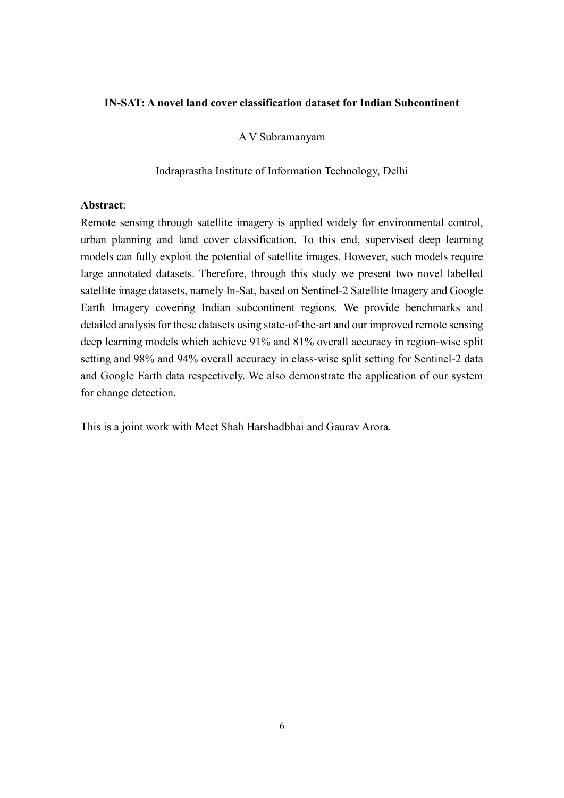# **IN-SAT: A novel land cover classification dataset for Indian Subcontinent**

# A V Subramanyam

Indraprastha Institute of Information Technology, Delhi

# **Abstract**:

Remote sensing through satellite imagery is applied widely for environmental control, urban planning and land cover classification. To this end, supervised deep learning models can fully exploit the potential of satellite images. However, such models require large annotated datasets. Therefore, through this study we present two novel labelled satellite image datasets, namely In-Sat, based on Sentinel-2 Satellite Imagery and Google Earth Imagery covering Indian subcontinent regions. We provide benchmarks and detailed analysis for these datasets using state-of-the-art and our improved remote sensing deep learning models which achieve 91% and 81% overall accuracy in region-wise split setting and 98% and 94% overall accuracy in class-wise split setting for Sentinel-2 data and Google Earth data respectively. We also demonstrate the application of our system for change detection.

This is a joint work with Meet Shah Harshadbhai and Gaurav Arora.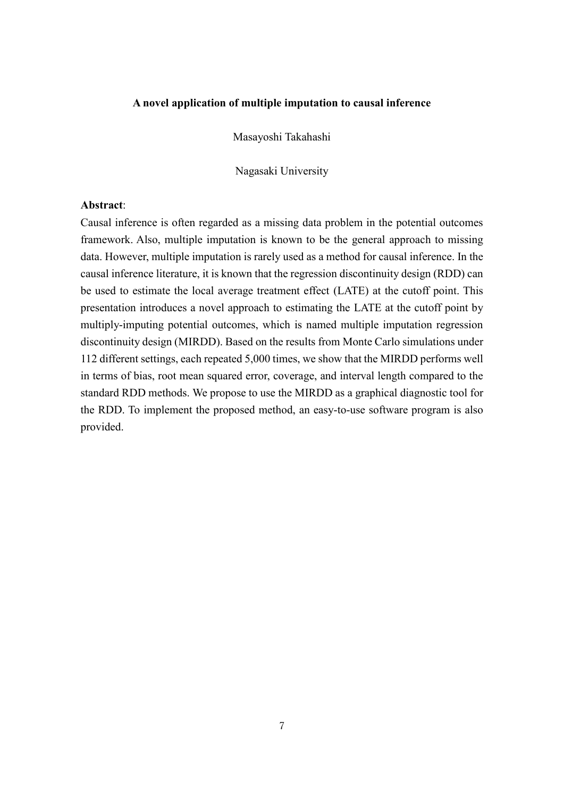# **A novel application of multiple imputation to causal inference**

Masayoshi Takahashi

Nagasaki University

## **Abstract**:

Causal inference is often regarded as a missing data problem in the potential outcomes framework. Also, multiple imputation is known to be the general approach to missing data. However, multiple imputation is rarely used as a method for causal inference. In the causal inference literature, it is known that the regression discontinuity design (RDD) can be used to estimate the local average treatment effect (LATE) at the cutoff point. This presentation introduces a novel approach to estimating the LATE at the cutoff point by multiply-imputing potential outcomes, which is named multiple imputation regression discontinuity design (MIRDD). Based on the results from Monte Carlo simulations under 112 different settings, each repeated 5,000 times, we show that the MIRDD performs well in terms of bias, root mean squared error, coverage, and interval length compared to the standard RDD methods. We propose to use the MIRDD as a graphical diagnostic tool for the RDD. To implement the proposed method, an easy-to-use software program is also provided.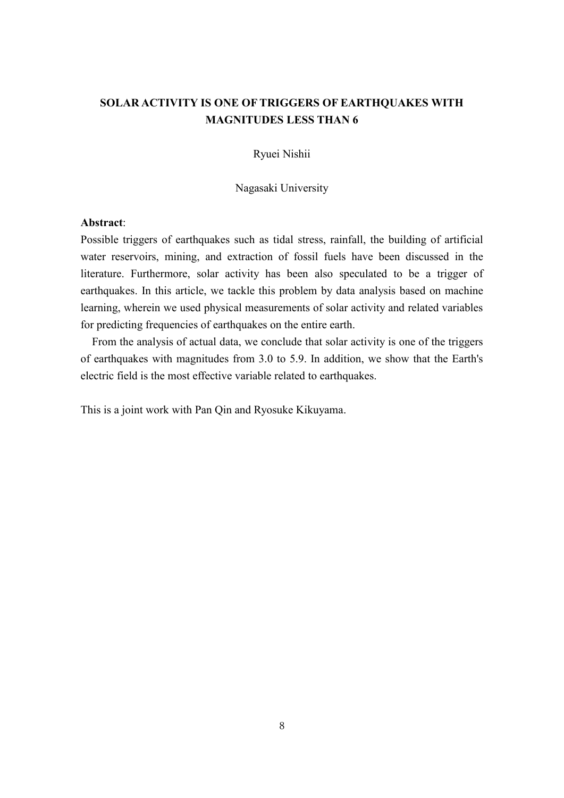# **SOLAR ACTIVITY IS ONE OF TRIGGERS OF EARTHQUAKES WITH MAGNITUDES LESS THAN 6**

Ryuei Nishii

Nagasaki University

### **Abstract**:

Possible triggers of earthquakes such as tidal stress, rainfall, the building of artificial water reservoirs, mining, and extraction of fossil fuels have been discussed in the literature. Furthermore, solar activity has been also speculated to be a trigger of earthquakes. In this article, we tackle this problem by data analysis based on machine learning, wherein we used physical measurements of solar activity and related variables for predicting frequencies of earthquakes on the entire earth.

From the analysis of actual data, we conclude that solar activity is one of the triggers of earthquakes with magnitudes from 3.0 to 5.9. In addition, we show that the Earth's electric field is the most effective variable related to earthquakes.

This is a joint work with Pan Qin and Ryosuke Kikuyama.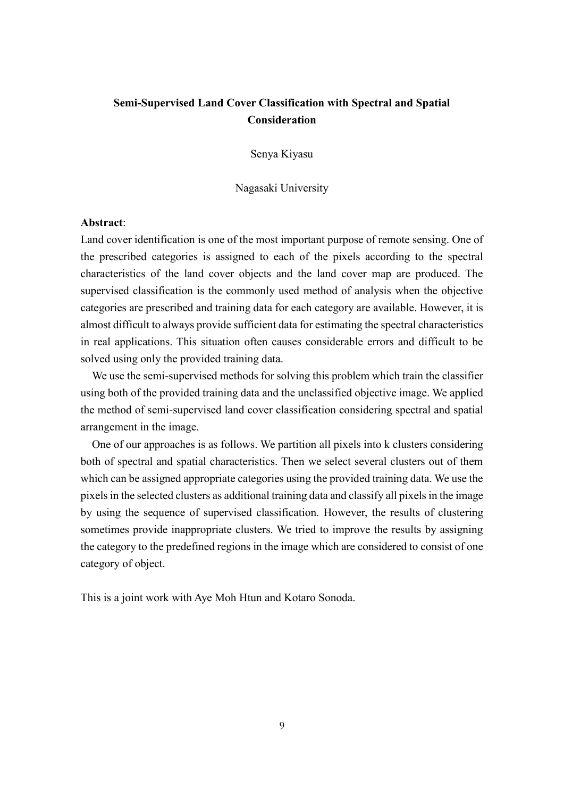# **Semi-Supervised Land Cover Classification with Spectral and Spatial Consideration**

Senya Kiyasu

Nagasaki University

# **Abstract**:

Land cover identification is one of the most important purpose of remote sensing. One of the prescribed categories is assigned to each of the pixels according to the spectral characteristics of the land cover objects and the land cover map are produced. The supervised classification is the commonly used method of analysis when the objective categories are prescribed and training data for each category are available. However, it is almost difficult to always provide sufficient data for estimating the spectral characteristics in real applications. This situation often causes considerable errors and difficult to be solved using only the provided training data.

We use the semi-supervised methods for solving this problem which train the classifier using both of the provided training data and the unclassified objective image. We applied the method of semi-supervised land cover classification considering spectral and spatial arrangement in the image.

One of our approaches is as follows. We partition all pixels into k clusters considering both of spectral and spatial characteristics. Then we select several clusters out of them which can be assigned appropriate categories using the provided training data. We use the pixels in the selected clusters as additional training data and classify all pixels in the image by using the sequence of supervised classification. However, the results of clustering sometimes provide inappropriate clusters. We tried to improve the results by assigning the category to the predefined regions in the image which are considered to consist of one category of object.

This is a joint work with Aye Moh Htun and Kotaro Sonoda.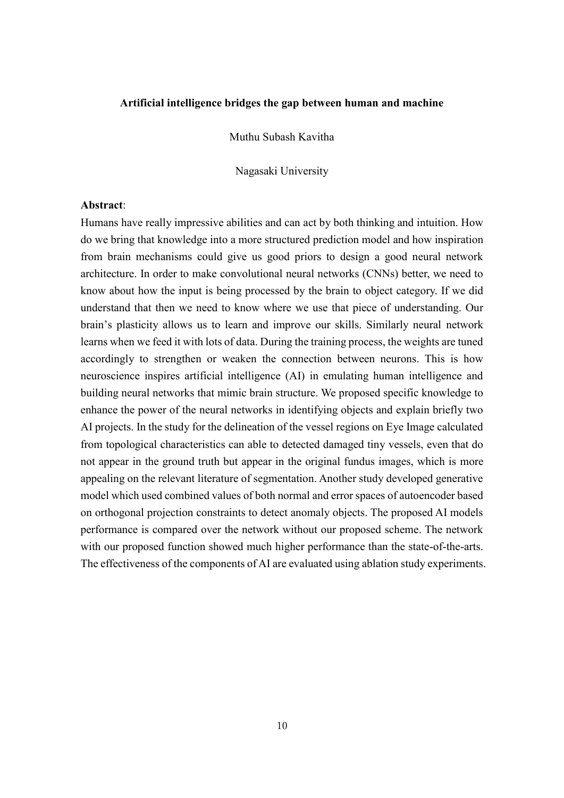# **Artificial intelligence bridges the gap between human and machine**

Muthu Subash Kavitha

Nagasaki University

## **Abstract**:

Humans have really impressive abilities and can act by both thinking and intuition. How do we bring that knowledge into a more structured prediction model and how inspiration from brain mechanisms could give us good priors to design a good neural network architecture. In order to make convolutional neural networks (CNNs) better, we need to know about how the input is being processed by the brain to object category. If we did understand that then we need to know where we use that piece of understanding. Our brain's plasticity allows us to learn and improve our skills. Similarly neural network learns when we feed it with lots of data. During the training process, the weights are tuned accordingly to strengthen or weaken the connection between neurons. This is how neuroscience inspires artificial intelligence (AI) in emulating human intelligence and building neural networks that mimic brain structure. We proposed specific knowledge to enhance the power of the neural networks in identifying objects and explain briefly two AI projects. In the study for the delineation of the vessel regions on Eye Image calculated from topological characteristics can able to detected damaged tiny vessels, even that do not appear in the ground truth but appear in the original fundus images, which is more appealing on the relevant literature of segmentation. Another study developed generative model which used combined values of both normal and error spaces of autoencoder based on orthogonal projection constraints to detect anomaly objects. The proposed AI models performance is compared over the network without our proposed scheme. The network with our proposed function showed much higher performance than the state-of-the-arts. The effectiveness of the components of AI are evaluated using ablation study experiments.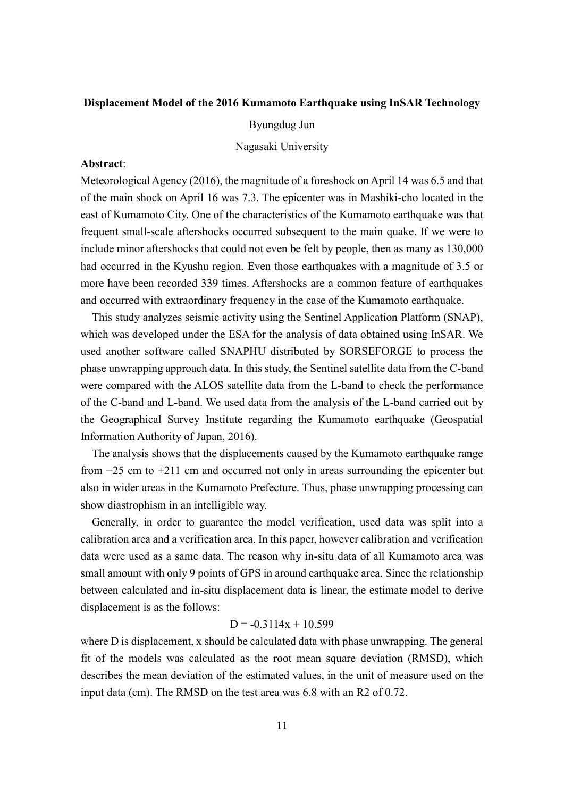# **Displacement Model of the 2016 Kumamoto Earthquake using InSAR Technology**

Byungdug Jun

Nagasaki University

# **Abstract**:

Meteorological Agency (2016), the magnitude of a foreshock on April 14 was 6.5 and that of the main shock on April 16 was 7.3. The epicenter was in Mashiki-cho located in the east of Kumamoto City. One of the characteristics of the Kumamoto earthquake was that frequent small-scale aftershocks occurred subsequent to the main quake. If we were to include minor aftershocks that could not even be felt by people, then as many as 130,000 had occurred in the Kyushu region. Even those earthquakes with a magnitude of 3.5 or more have been recorded 339 times. Aftershocks are a common feature of earthquakes and occurred with extraordinary frequency in the case of the Kumamoto earthquake.

This study analyzes seismic activity using the Sentinel Application Platform (SNAP), which was developed under the ESA for the analysis of data obtained using InSAR. We used another software called SNAPHU distributed by SORSEFORGE to process the phase unwrapping approach data. In this study, the Sentinel satellite data from the C-band were compared with the ALOS satellite data from the L-band to check the performance of the C-band and L-band. We used data from the analysis of the L-band carried out by the Geographical Survey Institute regarding the Kumamoto earthquake (Geospatial Information Authority of Japan, 2016).

The analysis shows that the displacements caused by the Kumamoto earthquake range from −25 cm to +211 cm and occurred not only in areas surrounding the epicenter but also in wider areas in the Kumamoto Prefecture. Thus, phase unwrapping processing can show diastrophism in an intelligible way.

Generally, in order to guarantee the model verification, used data was split into a calibration area and a verification area. In this paper, however calibration and verification data were used as a same data. The reason why in-situ data of all Kumamoto area was small amount with only 9 points of GPS in around earthquake area. Since the relationship between calculated and in-situ displacement data is linear, the estimate model to derive displacement is as the follows:

# $D = -0.3114x + 10.599$

where D is displacement, x should be calculated data with phase unwrapping. The general fit of the models was calculated as the root mean square deviation (RMSD), which describes the mean deviation of the estimated values, in the unit of measure used on the input data (cm). The RMSD on the test area was 6.8 with an R2 of 0.72.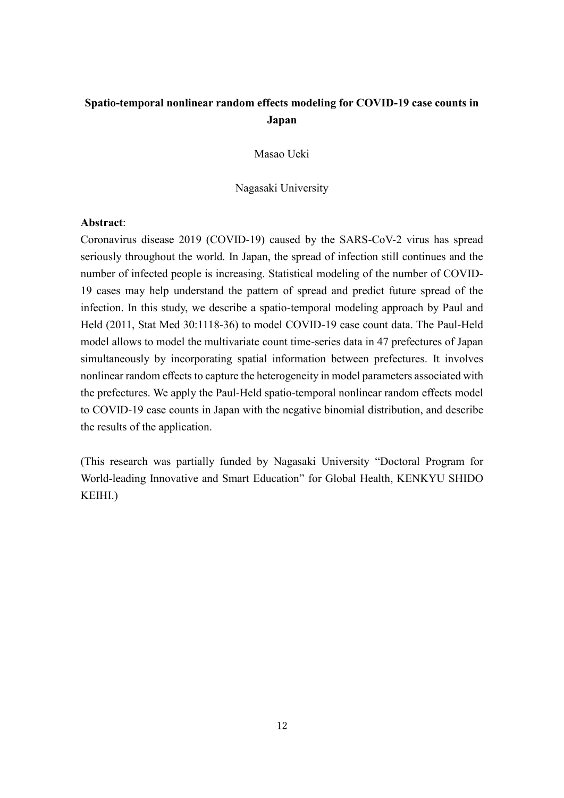# **Spatio-temporal nonlinear random effects modeling for COVID-19 case counts in Japan**

Masao Ueki

Nagasaki University

# **Abstract**:

Coronavirus disease 2019 (COVID-19) caused by the SARS-CoV-2 virus has spread seriously throughout the world. In Japan, the spread of infection still continues and the number of infected people is increasing. Statistical modeling of the number of COVID-19 cases may help understand the pattern of spread and predict future spread of the infection. In this study, we describe a spatio-temporal modeling approach by Paul and Held (2011, Stat Med 30:1118-36) to model COVID-19 case count data. The Paul-Held model allows to model the multivariate count time-series data in 47 prefectures of Japan simultaneously by incorporating spatial information between prefectures. It involves nonlinear random effects to capture the heterogeneity in model parameters associated with the prefectures. We apply the Paul-Held spatio-temporal nonlinear random effects model to COVID-19 case counts in Japan with the negative binomial distribution, and describe the results of the application.

(This research was partially funded by Nagasaki University "Doctoral Program for World-leading Innovative and Smart Education" for Global Health, KENKYU SHIDO KEIHI.)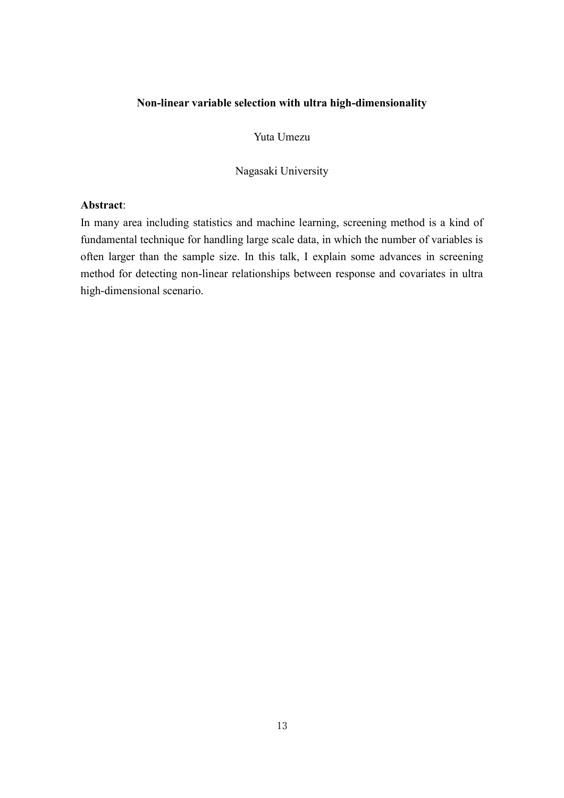# **Non-linear variable selection with ultra high-dimensionality**

Yuta Umezu

Nagasaki University

# **Abstract**:

In many area including statistics and machine learning, screening method is a kind of fundamental technique for handling large scale data, in which the number of variables is often larger than the sample size. In this talk, I explain some advances in screening method for detecting non-linear relationships between response and covariates in ultra high-dimensional scenario.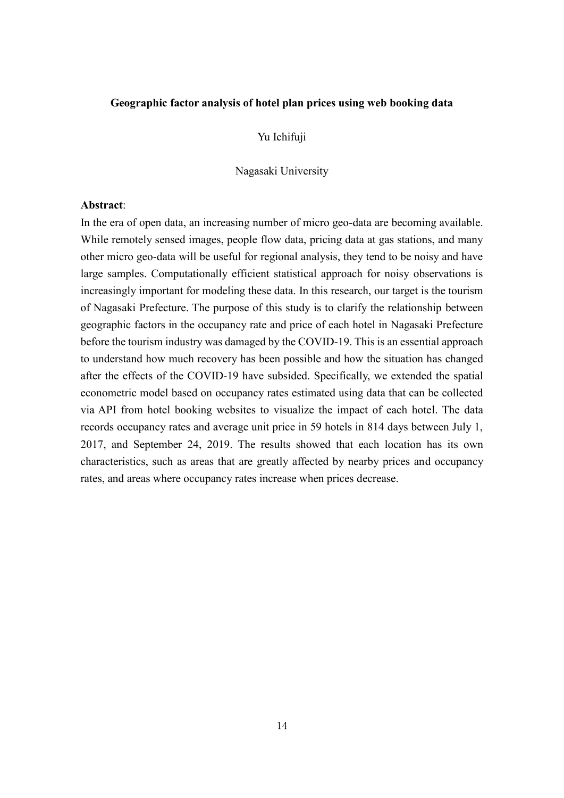## **Geographic factor analysis of hotel plan prices using web booking data**

# Yu Ichifuji

#### Nagasaki University

## **Abstract**:

In the era of open data, an increasing number of micro geo-data are becoming available. While remotely sensed images, people flow data, pricing data at gas stations, and many other micro geo-data will be useful for regional analysis, they tend to be noisy and have large samples. Computationally efficient statistical approach for noisy observations is increasingly important for modeling these data. In this research, our target is the tourism of Nagasaki Prefecture. The purpose of this study is to clarify the relationship between geographic factors in the occupancy rate and price of each hotel in Nagasaki Prefecture before the tourism industry was damaged by the COVID-19. This is an essential approach to understand how much recovery has been possible and how the situation has changed after the effects of the COVID-19 have subsided. Specifically, we extended the spatial econometric model based on occupancy rates estimated using data that can be collected via API from hotel booking websites to visualize the impact of each hotel. The data records occupancy rates and average unit price in 59 hotels in 814 days between July 1, 2017, and September 24, 2019. The results showed that each location has its own characteristics, such as areas that are greatly affected by nearby prices and occupancy rates, and areas where occupancy rates increase when prices decrease.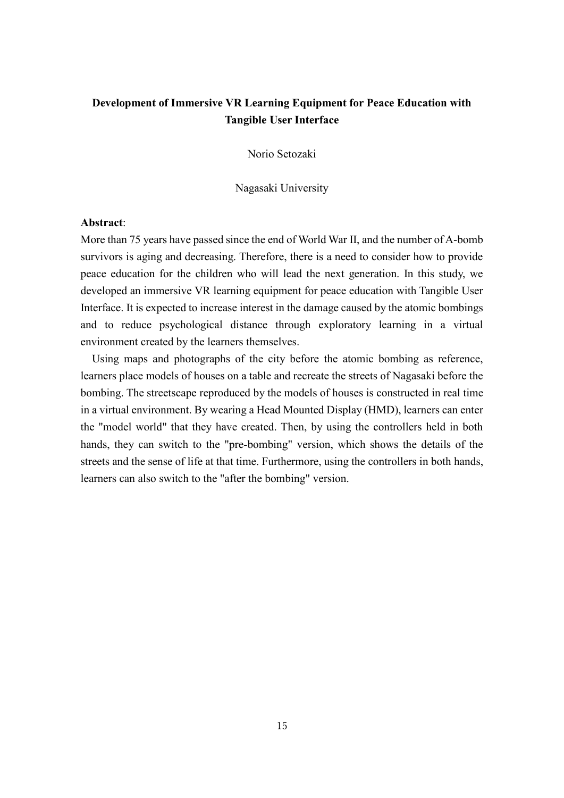# **Development of Immersive VR Learning Equipment for Peace Education with Tangible User Interface**

Norio Setozaki

Nagasaki University

# **Abstract**:

More than 75 years have passed since the end of World War II, and the number of A-bomb survivors is aging and decreasing. Therefore, there is a need to consider how to provide peace education for the children who will lead the next generation. In this study, we developed an immersive VR learning equipment for peace education with Tangible User Interface. It is expected to increase interest in the damage caused by the atomic bombings and to reduce psychological distance through exploratory learning in a virtual environment created by the learners themselves.

Using maps and photographs of the city before the atomic bombing as reference, learners place models of houses on a table and recreate the streets of Nagasaki before the bombing. The streetscape reproduced by the models of houses is constructed in real time in a virtual environment. By wearing a Head Mounted Display (HMD), learners can enter the "model world" that they have created. Then, by using the controllers held in both hands, they can switch to the "pre-bombing" version, which shows the details of the streets and the sense of life at that time. Furthermore, using the controllers in both hands, learners can also switch to the "after the bombing" version.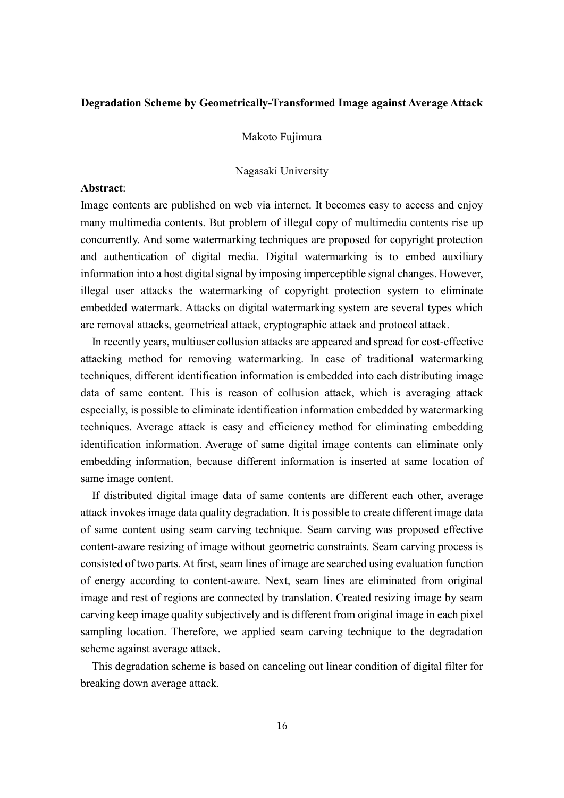# **Degradation Scheme by Geometrically-Transformed Image against Average Attack**

Makoto Fujimura

Nagasaki University

#### **Abstract**:

Image contents are published on web via internet. It becomes easy to access and enjoy many multimedia contents. But problem of illegal copy of multimedia contents rise up concurrently. And some watermarking techniques are proposed for copyright protection and authentication of digital media. Digital watermarking is to embed auxiliary information into a host digital signal by imposing imperceptible signal changes. However, illegal user attacks the watermarking of copyright protection system to eliminate embedded watermark. Attacks on digital watermarking system are several types which are removal attacks, geometrical attack, cryptographic attack and protocol attack.

In recently years, multiuser collusion attacks are appeared and spread for cost-effective attacking method for removing watermarking. In case of traditional watermarking techniques, different identification information is embedded into each distributing image data of same content. This is reason of collusion attack, which is averaging attack especially, is possible to eliminate identification information embedded by watermarking techniques. Average attack is easy and efficiency method for eliminating embedding identification information. Average of same digital image contents can eliminate only embedding information, because different information is inserted at same location of same image content.

If distributed digital image data of same contents are different each other, average attack invokes image data quality degradation. It is possible to create different image data of same content using seam carving technique. Seam carving was proposed effective content-aware resizing of image without geometric constraints. Seam carving process is consisted of two parts. At first, seam lines of image are searched using evaluation function of energy according to content-aware. Next, seam lines are eliminated from original image and rest of regions are connected by translation. Created resizing image by seam carving keep image quality subjectively and is different from original image in each pixel sampling location. Therefore, we applied seam carving technique to the degradation scheme against average attack.

This degradation scheme is based on canceling out linear condition of digital filter for breaking down average attack.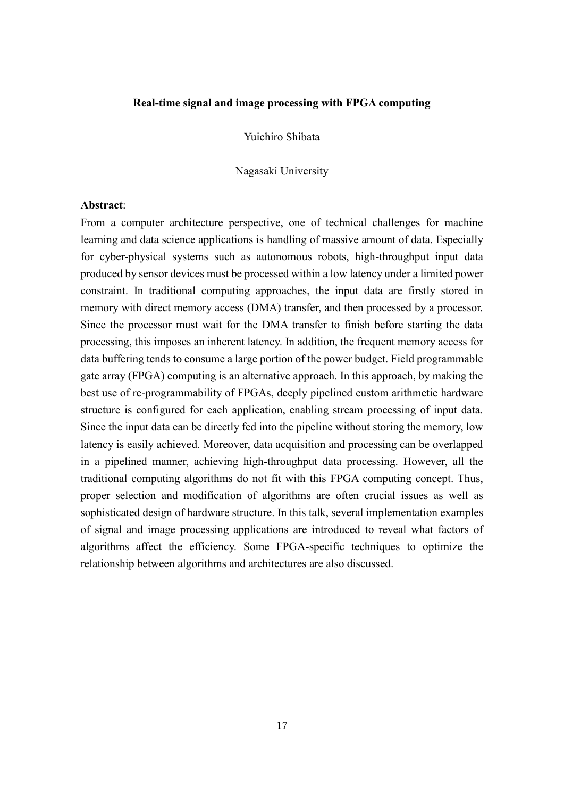# **Real-time signal and image processing with FPGA computing**

Yuichiro Shibata

Nagasaki University

# **Abstract**:

From a computer architecture perspective, one of technical challenges for machine learning and data science applications is handling of massive amount of data. Especially for cyber-physical systems such as autonomous robots, high-throughput input data produced by sensor devices must be processed within a low latency under a limited power constraint. In traditional computing approaches, the input data are firstly stored in memory with direct memory access (DMA) transfer, and then processed by a processor. Since the processor must wait for the DMA transfer to finish before starting the data processing, this imposes an inherent latency. In addition, the frequent memory access for data buffering tends to consume a large portion of the power budget. Field programmable gate array (FPGA) computing is an alternative approach. In this approach, by making the best use of re-programmability of FPGAs, deeply pipelined custom arithmetic hardware structure is configured for each application, enabling stream processing of input data. Since the input data can be directly fed into the pipeline without storing the memory, low latency is easily achieved. Moreover, data acquisition and processing can be overlapped in a pipelined manner, achieving high-throughput data processing. However, all the traditional computing algorithms do not fit with this FPGA computing concept. Thus, proper selection and modification of algorithms are often crucial issues as well as sophisticated design of hardware structure. In this talk, several implementation examples of signal and image processing applications are introduced to reveal what factors of algorithms affect the efficiency. Some FPGA-specific techniques to optimize the relationship between algorithms and architectures are also discussed.